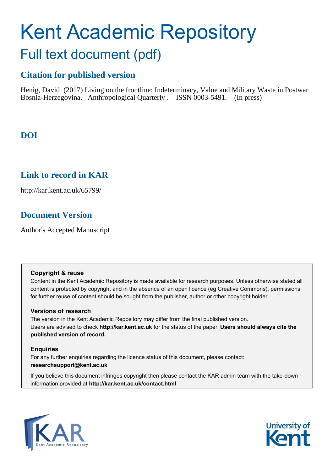# Kent Academic Repository Full text document (pdf)

# **Citation for published version**

Henig, David (2017) Living on the frontline: Indeterminacy, Value and Military Waste in Postwar Bosnia-Herzegovina. Anthropological Quarterly . ISSN 0003-5491. (In press)

# **DOI**

## **Link to record in KAR**

http://kar.kent.ac.uk/65799/

## **Document Version**

Author's Accepted Manuscript

### **Copyright & reuse**

Content in the Kent Academic Repository is made available for research purposes. Unless otherwise stated all content is protected by copyright and in the absence of an open licence (eg Creative Commons), permissions for further reuse of content should be sought from the publisher, author or other copyright holder.

## **Versions of research**

The version in the Kent Academic Repository may differ from the final published version. Users are advised to check **http://kar.kent.ac.uk** for the status of the paper. **Users should always cite the published version of record.**

## **Enquiries**

For any further enquiries regarding the licence status of this document, please contact: **researchsupport@kent.ac.uk**

If you believe this document infringes copyright then please contact the KAR admin team with the take-down information provided at **http://kar.kent.ac.uk/contact.html**



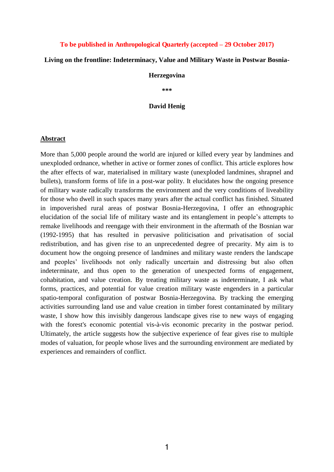#### **To be published in Anthropological Quarterly (accepted – 29 October 2017)**

#### **Living on the frontline: Indeterminacy, Value and Military Waste in Postwar Bosnia-**

#### **Herzegovina**

**\*\*\*** 

#### **David Henig**

#### **Abstract**

More than 5,000 people around the world are injured or killed every year by landmines and unexploded ordnance, whether in active or former zones of conflict. This article explores how the after effects of war, materialised in military waste (unexploded landmines, shrapnel and bullets), transform forms of life in a post-war polity. It elucidates how the ongoing presence of military waste radically transforms the environment and the very conditions of liveability for those who dwell in such spaces many years after the actual conflict has finished. Situated in impoverished rural areas of postwar Bosnia-Herzegovina, I offer an ethnographic elucidation of the social life of military waste and its entanglement in people's attempts to remake livelihoods and reengage with their environment in the aftermath of the Bosnian war (1992-1995) that has resulted in pervasive politicisation and privatisation of social redistribution, and has given rise to an unprecedented degree of precarity. My aim is to document how the ongoing presence of landmines and military waste renders the landscape and peoples' livelihoods not only radically uncertain and distressing but also often indeterminate, and thus open to the generation of unexpected forms of engagement, cohabitation, and value creation. By treating military waste as indeterminate, I ask what forms, practices, and potential for value creation military waste engenders in a particular spatio-temporal configuration of postwar Bosnia-Herzegovina. By tracking the emerging activities surrounding land use and value creation in timber forest contaminated by military waste, I show how this invisibly dangerous landscape gives rise to new ways of engaging with the forest's economic potential vis-à-vis economic precarity in the postwar period. Ultimately, the article suggests how the subjective experience of fear gives rise to multiple modes of valuation, for people whose lives and the surrounding environment are mediated by experiences and remainders of conflict.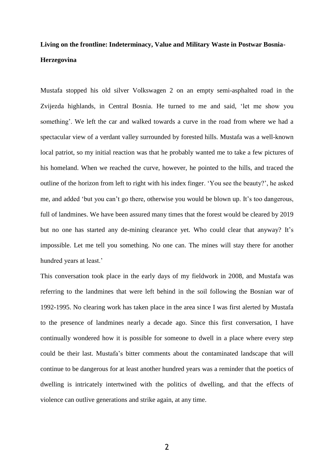# **Living on the frontline: Indeterminacy, Value and Military Waste in Postwar Bosnia-Herzegovina**

Mustafa stopped his old silver Volkswagen 2 on an empty semi-asphalted road in the Zvijezda highlands, in Central Bosnia. He turned to me and said, 'let me show you something'. We left the car and walked towards a curve in the road from where we had a spectacular view of a verdant valley surrounded by forested hills. Mustafa was a well-known local patriot, so my initial reaction was that he probably wanted me to take a few pictures of his homeland. When we reached the curve, however, he pointed to the hills, and traced the outline of the horizon from left to right with his index finger. 'You see the beauty?', he asked me, and added 'but you can't go there, otherwise you would be blown up. It's too dangerous, full of landmines. We have been assured many times that the forest would be cleared by 2019 but no one has started any de-mining clearance yet. Who could clear that anyway? It's impossible. Let me tell you something. No one can. The mines will stay there for another hundred years at least.'

This conversation took place in the early days of my fieldwork in 2008, and Mustafa was referring to the landmines that were left behind in the soil following the Bosnian war of 1992-1995. No clearing work has taken place in the area since I was first alerted by Mustafa to the presence of landmines nearly a decade ago. Since this first conversation, I have continually wondered how it is possible for someone to dwell in a place where every step could be their last. Mustafa's bitter comments about the contaminated landscape that will continue to be dangerous for at least another hundred years was a reminder that the poetics of dwelling is intricately intertwined with the politics of dwelling, and that the effects of violence can outlive generations and strike again, at any time.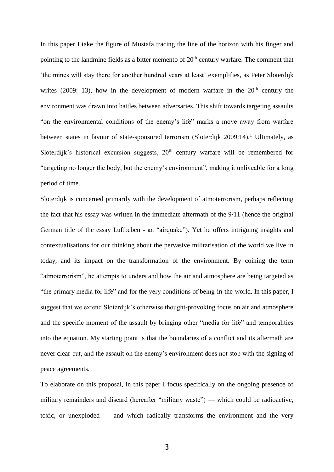In this paper I take the figure of Mustafa tracing the line of the horizon with his finger and pointing to the landmine fields as a bitter memento of  $20<sup>th</sup>$  century warfare. The comment that 'the mines will stay there for another hundred years at least' exemplifies, as Peter Sloterdijk writes (2009: 13), how in the development of modern warfare in the  $20<sup>th</sup>$  century the environment was drawn into battles between adversaries. This shift towards targeting assaults "on the environmental conditions of the enemy's life" marks a move away from warfare between states in favour of state-sponsored terrorism (Sloterdijk 2009:14).<sup>1</sup> Ultimately, as Sloterdijk's historical excursion suggests,  $20<sup>th</sup>$  century warfare will be remembered for "targeting no longer the body, but the enemy's environment", making it unliveable for a long period of time.

Sloterdijk is concerned primarily with the development of atmoterrorism, perhaps reflecting the fact that his essay was written in the immediate aftermath of the 9/11 (hence the original German title of the essay Luftbeben - an "airquake"). Yet he offers intriguing insights and contextualisations for our thinking about the pervasive militarisation of the world we live in today, and its impact on the transformation of the environment. By coining the term "atmoterrorism", he attempts to understand how the air and atmosphere are being targeted as "the primary media for life" and for the very conditions of being-in-the-world. In this paper, I suggest that we extend Sloterdijk's otherwise thought-provoking focus on air and atmosphere and the specific moment of the assault by bringing other "media for life" and temporalities into the equation. My starting point is that the boundaries of a conflict and its aftermath are never clear-cut, and the assault on the enemy's environment does not stop with the signing of peace agreements.

To elaborate on this proposal, in this paper I focus specifically on the ongoing presence of military remainders and discard (hereafter "military waste") — which could be radioactive, toxic, or unexploded — and which radically transforms the environment and the very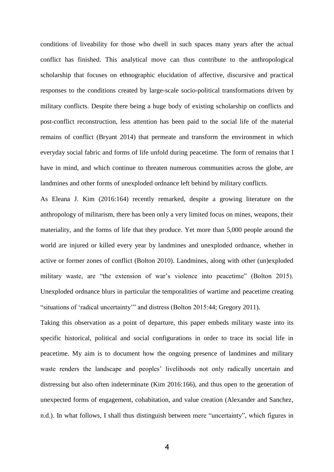conditions of liveability for those who dwell in such spaces many years after the actual conflict has finished. This analytical move can thus contribute to the anthropological scholarship that focuses on ethnographic elucidation of affective, discursive and practical responses to the conditions created by large-scale socio-political transformations driven by military conflicts. Despite there being a huge body of existing scholarship on conflicts and post-conflict reconstruction, less attention has been paid to the social life of the material remains of conflict (Bryant 2014) that permeate and transform the environment in which everyday social fabric and forms of life unfold during peacetime. The form of remains that I have in mind, and which continue to threaten numerous communities across the globe, are landmines and other forms of unexploded ordnance left behind by military conflicts.

As Eleana J. Kim (2016:164) recently remarked, despite a growing literature on the anthropology of militarism, there has been only a very limited focus on mines, weapons, their materiality, and the forms of life that they produce. Yet more than 5,000 people around the world are injured or killed every year by landmines and unexploded ordnance, whether in active or former zones of conflict (Bolton 2010). Landmines, along with other (un)exploded military waste, are "the extension of war's violence into peacetime" (Bolton 2015). Unexploded ordnance blurs in particular the temporalities of wartime and peacetime creating "situations of 'radical uncertainty'" and distress (Bolton 2015:44; Gregory 2011).

Taking this observation as a point of departure, this paper embeds military waste into its specific historical, political and social configurations in order to trace its social life in peacetime. My aim is to document how the ongoing presence of landmines and military waste renders the landscape and peoples' livelihoods not only radically uncertain and distressing but also often indeterminate (Kim 2016:166), and thus open to the generation of unexpected forms of engagement, cohabitation, and value creation (Alexander and Sanchez, n.d.). In what follows, I shall thus distinguish between mere "uncertainty", which figures in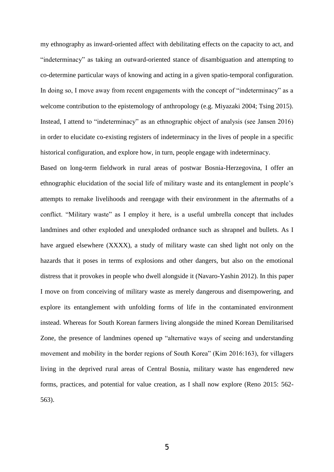my ethnography as inward-oriented affect with debilitating effects on the capacity to act, and "indeterminacy" as taking an outward-oriented stance of disambiguation and attempting to co-determine particular ways of knowing and acting in a given spatio-temporal configuration. In doing so, I move away from recent engagements with the concept of "indeterminacy" as a welcome contribution to the epistemology of anthropology (e.g. Miyazaki 2004; Tsing 2015). Instead, I attend to "indeterminacy" as an ethnographic object of analysis (see Jansen 2016) in order to elucidate co-existing registers of indeterminacy in the lives of people in a specific historical configuration, and explore how, in turn, people engage with indeterminacy.

Based on long-term fieldwork in rural areas of postwar Bosnia-Herzegovina, I offer an ethnographic elucidation of the social life of military waste and its entanglement in people's attempts to remake livelihoods and reengage with their environment in the aftermaths of a conflict. "Military waste" as I employ it here, is a useful umbrella concept that includes landmines and other exploded and unexploded ordnance such as shrapnel and bullets. As I have argued elsewhere (XXXX), a study of military waste can shed light not only on the hazards that it poses in terms of explosions and other dangers, but also on the emotional distress that it provokes in people who dwell alongside it (Navaro-Yashin 2012). In this paper I move on from conceiving of military waste as merely dangerous and disempowering, and explore its entanglement with unfolding forms of life in the contaminated environment instead. Whereas for South Korean farmers living alongside the mined Korean Demilitarised Zone, the presence of landmines opened up "alternative ways of seeing and understanding movement and mobility in the border regions of South Korea" (Kim 2016:163), for villagers living in the deprived rural areas of Central Bosnia, military waste has engendered new forms, practices, and potential for value creation, as I shall now explore (Reno 2015: 562- 563).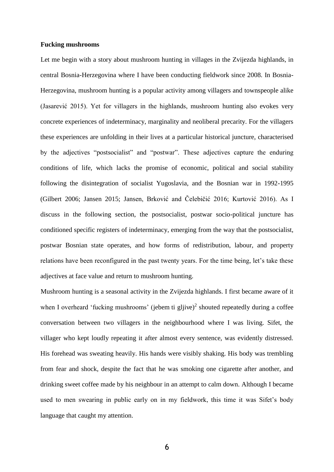#### **Fucking mushrooms**

Let me begin with a story about mushroom hunting in villages in the Zvijezda highlands, in central Bosnia-Herzegovina where I have been conducting fieldwork since 2008. In Bosnia-Herzegovina, mushroom hunting is a popular activity among villagers and townspeople alike (Jasarević 2015). Yet for villagers in the highlands, mushroom hunting also evokes very concrete experiences of indeterminacy, marginality and neoliberal precarity. For the villagers these experiences are unfolding in their lives at a particular historical juncture, characterised by the adjectives "postsocialist" and "postwar". These adjectives capture the enduring conditions of life, which lacks the promise of economic, political and social stability following the disintegration of socialist Yugoslavia, and the Bosnian war in 1992-1995 (Gilbert 2006; Jansen 2015; Jansen, Brković and Čelebičić 2016; Kurtović 2016). As I discuss in the following section, the postsocialist, postwar socio-political juncture has conditioned specific registers of indeterminacy, emerging from the way that the postsocialist, postwar Bosnian state operates, and how forms of redistribution, labour, and property relations have been reconfigured in the past twenty years. For the time being, let's take these adjectives at face value and return to mushroom hunting.

Mushroom hunting is a seasonal activity in the Zvijezda highlands. I first became aware of it when I overheard 'fucking mushrooms' (jebem ti gljive)<sup>2</sup> shouted repeatedly during a coffee conversation between two villagers in the neighbourhood where I was living. Sifet, the villager who kept loudly repeating it after almost every sentence, was evidently distressed. His forehead was sweating heavily. His hands were visibly shaking. His body was trembling from fear and shock, despite the fact that he was smoking one cigarette after another, and drinking sweet coffee made by his neighbour in an attempt to calm down. Although I became used to men swearing in public early on in my fieldwork, this time it was Sifet's body language that caught my attention.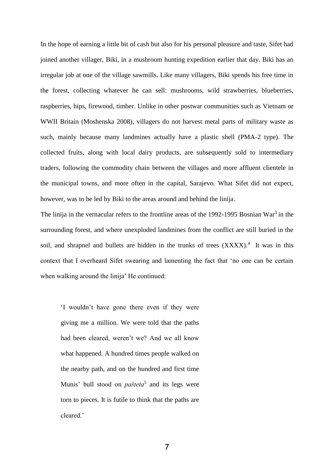In the hope of earning a little bit of cash but also for his personal pleasure and taste, Sifet had joined another villager, Biki, in a mushroom hunting expedition earlier that day. Biki has an irregular job at one of the village sawmills. Like many villagers, Biki spends his free time in the forest, collecting whatever he can sell: mushrooms, wild strawberries, blueberries, raspberries, hips, firewood, timber. Unlike in other postwar communities such as Vietnam or WWII Britain (Moshenska 2008), villagers do not harvest metal parts of military waste as such, mainly because many landmines actually have a plastic shell (PMA-2 type). The collected fruits, along with local dairy products, are subsequently sold to intermediary traders, following the commodity chain between the villages and more affluent clientele in the municipal towns, and more often in the capital, Sarajevo. What Sifet did not expect, however, was to be led by Biki to the areas around and behind the linija.

The linija in the vernacular refers to the frontline areas of the 1992-1995 Bosnian War<sup>3</sup> in the surrounding forest, and where unexploded landmines from the conflict are still buried in the soil, and shrapnel and bullets are hidden in the trunks of trees  $(XXXX)$ .<sup>4</sup> It was in this context that I overheard Sifet swearing and lamenting the fact that 'no one can be certain when walking around the linija' He continued:

'I wouldn't have gone there even if they were giving me a million. We were told that the paths had been cleared, weren't we? And we all know what happened. A hundred times people walked on the nearby path, and on the hundred and first time Munis' bull stood on *pašteta*<sup>5</sup> and its legs were torn to pieces. It is futile to think that the paths are cleared.'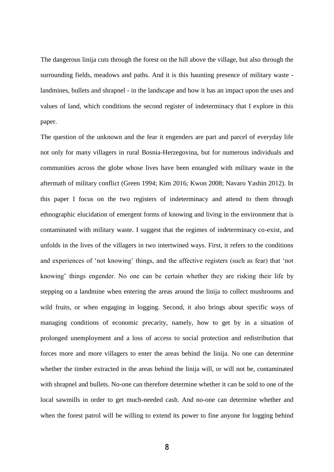The dangerous linija cuts through the forest on the hill above the village, but also through the surrounding fields, meadows and paths. And it is this haunting presence of military waste landmines, bullets and shrapnel - in the landscape and how it has an impact upon the uses and values of land, which conditions the second register of indeterminacy that I explore in this paper.

The question of the unknown and the fear it engenders are part and parcel of everyday life not only for many villagers in rural Bosnia-Herzegovina, but for numerous individuals and communities across the globe whose lives have been entangled with military waste in the aftermath of military conflict (Green 1994; Kim 2016; Kwon 2008; Navaro Yashin 2012). In this paper I focus on the two registers of indeterminacy and attend to them through ethnographic elucidation of emergent forms of knowing and living in the environment that is contaminated with military waste. I suggest that the regimes of indeterminacy co-exist, and unfolds in the lives of the villagers in two intertwined ways. First, it refers to the conditions and experiences of 'not knowing' things, and the affective registers (such as fear) that 'not knowing' things engender. No one can be certain whether they are risking their life by stepping on a landmine when entering the areas around the linija to collect mushrooms and wild fruits, or when engaging in logging. Second, it also brings about specific ways of managing conditions of economic precarity, namely, how to get by in a situation of prolonged unemployment and a loss of access to social protection and redistribution that forces more and more villagers to enter the areas behind the linija. No one can determine whether the timber extracted in the areas behind the linija will, or will not be, contaminated with shrapnel and bullets. No-one can therefore determine whether it can be sold to one of the local sawmills in order to get much-needed cash. And no-one can determine whether and when the forest patrol will be willing to extend its power to fine anyone for logging behind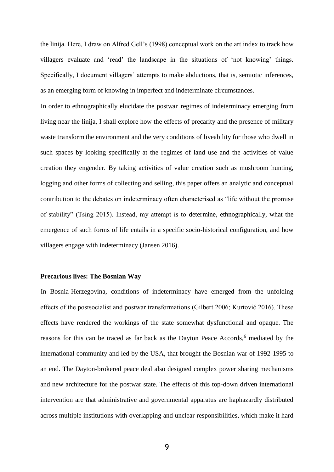the linija. Here, I draw on Alfred Gell's (1998) conceptual work on the art index to track how villagers evaluate and 'read' the landscape in the situations of 'not knowing' things. Specifically, I document villagers' attempts to make abductions, that is, semiotic inferences, as an emerging form of knowing in imperfect and indeterminate circumstances.

In order to ethnographically elucidate the postwar regimes of indeterminacy emerging from living near the linija, I shall explore how the effects of precarity and the presence of military waste transform the environment and the very conditions of liveability for those who dwell in such spaces by looking specifically at the regimes of land use and the activities of value creation they engender. By taking activities of value creation such as mushroom hunting, logging and other forms of collecting and selling, this paper offers an analytic and conceptual contribution to the debates on indeterminacy often characterised as "life without the promise of stability" (Tsing 2015). Instead, my attempt is to determine, ethnographically, what the emergence of such forms of life entails in a specific socio-historical configuration, and how villagers engage with indeterminacy (Jansen 2016).

#### **Precarious lives: The Bosnian Way**

In Bosnia-Herzegovina, conditions of indeterminacy have emerged from the unfolding effects of the postsocialist and postwar transformations (Gilbert 2006; Kurtović 2016). These effects have rendered the workings of the state somewhat dysfunctional and opaque. The reasons for this can be traced as far back as the Dayton Peace Accords,<sup>6</sup> mediated by the international community and led by the USA, that brought the Bosnian war of 1992-1995 to an end. The Dayton-brokered peace deal also designed complex power sharing mechanisms and new architecture for the postwar state. The effects of this top-down driven international intervention are that administrative and governmental apparatus are haphazardly distributed across multiple institutions with overlapping and unclear responsibilities, which make it hard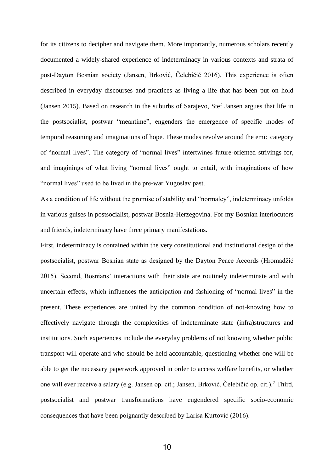for its citizens to decipher and navigate them. More importantly, numerous scholars recently documented a widely-shared experience of indeterminacy in various contexts and strata of post-Dayton Bosnian society (Jansen, Brković, Čelebičić 2016). This experience is often described in everyday discourses and practices as living a life that has been put on hold (Jansen 2015). Based on research in the suburbs of Sarajevo, Stef Jansen argues that life in the postsocialist, postwar "meantime", engenders the emergence of specific modes of temporal reasoning and imaginations of hope. These modes revolve around the emic category of "normal lives". The category of "normal lives" intertwines future-oriented strivings for, and imaginings of what living "normal lives" ought to entail, with imaginations of how "normal lives" used to be lived in the pre-war Yugoslav past.

As a condition of life without the promise of stability and "normalcy", indeterminacy unfolds in various guises in postsocialist, postwar Bosnia-Herzegovina. For my Bosnian interlocutors and friends, indeterminacy have three primary manifestations.

First, indeterminacy is contained within the very constitutional and institutional design of the postsocialist, postwar Bosnian state as designed by the Dayton Peace Accords (Hromadžić 2015). Second, Bosnians' interactions with their state are routinely indeterminate and with uncertain effects, which influences the anticipation and fashioning of "normal lives" in the present. These experiences are united by the common condition of not-knowing how to effectively navigate through the complexities of indeterminate state (infra)structures and institutions. Such experiences include the everyday problems of not knowing whether public transport will operate and who should be held accountable, questioning whether one will be able to get the necessary paperwork approved in order to access welfare benefits, or whether one will ever receive a salary (e.g. Jansen op. cit.; Jansen, Brković, Čelebičić op. cit.).<sup>7</sup> Third, postsocialist and postwar transformations have engendered specific socio-economic consequences that have been poignantly described by Larisa Kurtović (2016).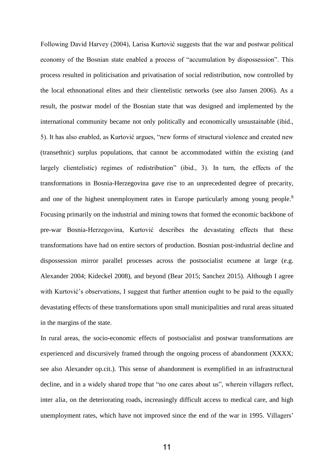Following David Harvey (2004), Larisa Kurtović suggests that the war and postwar political economy of the Bosnian state enabled a process of "accumulation by dispossession". This process resulted in politicisation and privatisation of social redistribution, now controlled by the local ethnonational elites and their clientelistic networks (see also Jansen 2006). As a result, the postwar model of the Bosnian state that was designed and implemented by the international community became not only politically and economically unsustainable (ibid., 5). It has also enabled, as Kurtović argues, "new forms of structural violence and created new (transethnic) surplus populations, that cannot be accommodated within the existing (and largely clientelistic) regimes of redistribution" (ibid., 3). In turn, the effects of the transformations in Bosnia-Herzegovina gave rise to an unprecedented degree of precarity, and one of the highest unemployment rates in Europe particularly among young people.<sup>8</sup> Focusing primarily on the industrial and mining towns that formed the economic backbone of pre-war Bosnia-Herzegovina, Kurtović describes the devastating effects that these transformations have had on entire sectors of production. Bosnian post-industrial decline and dispossession mirror parallel processes across the postsocialist ecumene at large (e.g. Alexander 2004; Kideckel 2008), and beyond (Bear 2015; Sanchez 2015). Although I agree with Kurtović's observations, I suggest that further attention ought to be paid to the equally devastating effects of these transformations upon small municipalities and rural areas situated in the margins of the state.

In rural areas, the socio-economic effects of postsocialist and postwar transformations are experienced and discursively framed through the ongoing process of abandonment (XXXX; see also Alexander op.cit.). This sense of abandonment is exemplified in an infrastructural decline, and in a widely shared trope that "no one cares about us", wherein villagers reflect, inter alia, on the deteriorating roads, increasingly difficult access to medical care, and high unemployment rates, which have not improved since the end of the war in 1995. Villagers'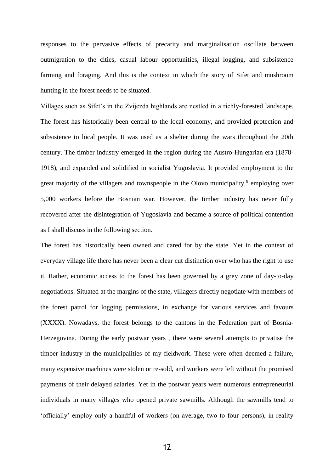responses to the pervasive effects of precarity and marginalisation oscillate between outmigration to the cities, casual labour opportunities, illegal logging, and subsistence farming and foraging. And this is the context in which the story of Sifet and mushroom hunting in the forest needs to be situated.

Villages such as Sifet's in the Zvijezda highlands are nestled in a richly-forested landscape. The forest has historically been central to the local economy, and provided protection and subsistence to local people. It was used as a shelter during the wars throughout the 20th century. The timber industry emerged in the region during the Austro-Hungarian era (1878- 1918), and expanded and solidified in socialist Yugoslavia. It provided employment to the great majority of the villagers and townspeople in the Olovo municipality,<sup>9</sup> employing over 5,000 workers before the Bosnian war. However, the timber industry has never fully recovered after the disintegration of Yugoslavia and became a source of political contention as I shall discuss in the following section.

The forest has historically been owned and cared for by the state. Yet in the context of everyday village life there has never been a clear cut distinction over who has the right to use it. Rather, economic access to the forest has been governed by a grey zone of day-to-day negotiations. Situated at the margins of the state, villagers directly negotiate with members of the forest patrol for logging permissions, in exchange for various services and favours (XXXX). Nowadays, the forest belongs to the cantons in the Federation part of Bosnia-Herzegovina. During the early postwar years , there were several attempts to privatise the timber industry in the municipalities of my fieldwork. These were often deemed a failure, many expensive machines were stolen or re-sold, and workers were left without the promised payments of their delayed salaries. Yet in the postwar years were numerous entrepreneurial individuals in many villages who opened private sawmills. Although the sawmills tend to 'officially' employ only a handful of workers (on average, two to four persons), in reality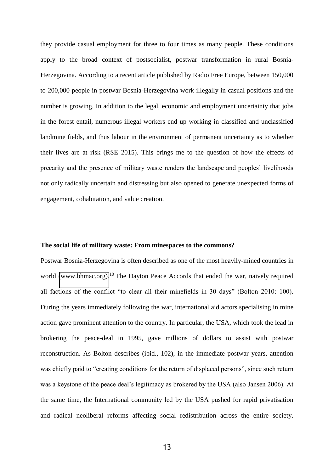they provide casual employment for three to four times as many people. These conditions apply to the broad context of postsocialist, postwar transformation in rural Bosnia-Herzegovina. According to a recent article published by Radio Free Europe, between 150,000 to 200,000 people in postwar Bosnia-Herzegovina work illegally in casual positions and the number is growing. In addition to the legal, economic and employment uncertainty that jobs in the forest entail, numerous illegal workers end up working in classified and unclassified landmine fields, and thus labour in the environment of permanent uncertainty as to whether their lives are at risk (RSE 2015). This brings me to the question of how the effects of precarity and the presence of military waste renders the landscape and peoples' livelihoods not only radically uncertain and distressing but also opened to generate unexpected forms of engagement, cohabitation, and value creation.

#### **The social life of military waste: From minespaces to the commons?**

Postwar Bosnia-Herzegovina is often described as one of the most heavily-mined countries in world [\(www.bhmac.org\).](http://www.bhmac.org)/)<sup>10</sup> The Dayton Peace Accords that ended the war, naively required all factions of the conflict "to clear all their minefields in 30 days" (Bolton 2010: 100). During the years immediately following the war, international aid actors specialising in mine action gave prominent attention to the country. In particular, the USA, which took the lead in brokering the peace-deal in 1995, gave millions of dollars to assist with postwar reconstruction. As Bolton describes (ibid., 102), in the immediate postwar years, attention was chiefly paid to "creating conditions for the return of displaced persons", since such return was a keystone of the peace deal's legitimacy as brokered by the USA (also Jansen 2006). At the same time, the International community led by the USA pushed for rapid privatisation and radical neoliberal reforms affecting social redistribution across the entire society.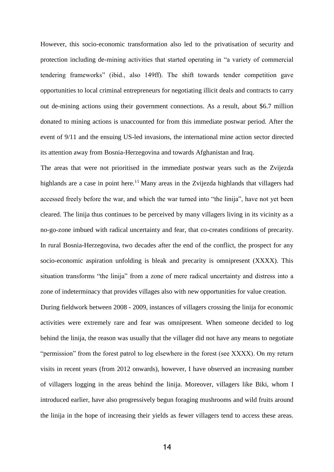However, this socio-economic transformation also led to the privatisation of security and protection including de-mining activities that started operating in "a variety of commercial tendering frameworks" (ibid., also 149ff). The shift towards tender competition gave opportunities to local criminal entrepreneurs for negotiating illicit deals and contracts to carry out de-mining actions using their government connections. As a result, about \$6.7 million donated to mining actions is unaccounted for from this immediate postwar period. After the event of 9/11 and the ensuing US-led invasions, the international mine action sector directed its attention away from Bosnia-Herzegovina and towards Afghanistan and Iraq.

The areas that were not prioritised in the immediate postwar years such as the Zvijezda highlands are a case in point here.<sup>11</sup> Many areas in the Zvijezda highlands that villagers had accessed freely before the war, and which the war turned into "the linija", have not yet been cleared. The linija thus continues to be perceived by many villagers living in its vicinity as a no-go-zone imbued with radical uncertainty and fear, that co-creates conditions of precarity. In rural Bosnia-Herzegovina, two decades after the end of the conflict, the prospect for any socio-economic aspiration unfolding is bleak and precarity is omnipresent (XXXX). This situation transforms "the linija" from a zone of mere radical uncertainty and distress into a zone of indeterminacy that provides villages also with new opportunities for value creation.

During fieldwork between 2008 - 2009, instances of villagers crossing the linija for economic activities were extremely rare and fear was omnipresent. When someone decided to log behind the linija, the reason was usually that the villager did not have any means to negotiate "permission" from the forest patrol to log elsewhere in the forest (see XXXX). On my return visits in recent years (from 2012 onwards), however, I have observed an increasing number of villagers logging in the areas behind the linija. Moreover, villagers like Biki, whom I introduced earlier, have also progressively begun foraging mushrooms and wild fruits around the linija in the hope of increasing their yields as fewer villagers tend to access these areas.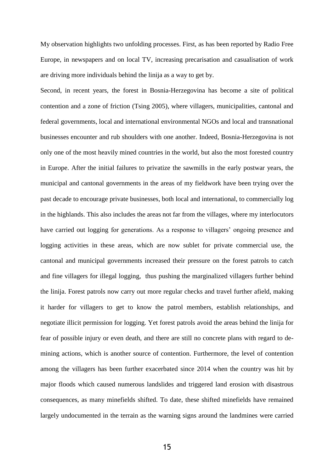My observation highlights two unfolding processes. First, as has been reported by Radio Free Europe, in newspapers and on local TV, increasing precarisation and casualisation of work are driving more individuals behind the linija as a way to get by.

Second, in recent years, the forest in Bosnia-Herzegovina has become a site of political contention and a zone of friction (Tsing 2005), where villagers, municipalities, cantonal and federal governments, local and international environmental NGOs and local and transnational businesses encounter and rub shoulders with one another. Indeed, Bosnia-Herzegovina is not only one of the most heavily mined countries in the world, but also the most forested country in Europe. After the initial failures to privatize the sawmills in the early postwar years, the municipal and cantonal governments in the areas of my fieldwork have been trying over the past decade to encourage private businesses, both local and international, to commercially log in the highlands. This also includes the areas not far from the villages, where my interlocutors have carried out logging for generations. As a response to villagers' ongoing presence and logging activities in these areas, which are now sublet for private commercial use, the cantonal and municipal governments increased their pressure on the forest patrols to catch and fine villagers for illegal logging, thus pushing the marginalized villagers further behind the linija. Forest patrols now carry out more regular checks and travel further afield, making it harder for villagers to get to know the patrol members, establish relationships, and negotiate illicit permission for logging. Yet forest patrols avoid the areas behind the linija for fear of possible injury or even death, and there are still no concrete plans with regard to demining actions, which is another source of contention. Furthermore, the level of contention among the villagers has been further exacerbated since 2014 when the country was hit by major floods which caused numerous landslides and triggered land erosion with disastrous consequences, as many minefields shifted. To date, these shifted minefields have remained largely undocumented in the terrain as the warning signs around the landmines were carried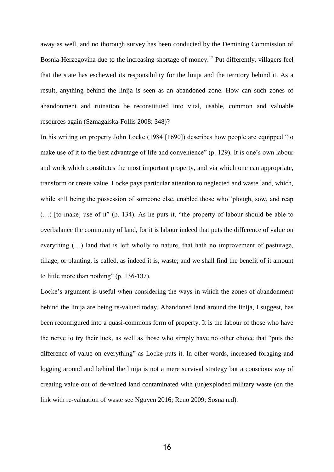away as well, and no thorough survey has been conducted by the Demining Commission of Bosnia-Herzegovina due to the increasing shortage of money.<sup>12</sup> Put differently, villagers feel that the state has eschewed its responsibility for the linija and the territory behind it. As a result, anything behind the linija is seen as an abandoned zone. How can such zones of abandonment and ruination be reconstituted into vital, usable, common and valuable resources again (Szmagalska-Follis 2008: 348)?

In his writing on property John Locke (1984 [1690]) describes how people are equipped "to make use of it to the best advantage of life and convenience" (p. 129). It is one's own labour and work which constitutes the most important property, and via which one can appropriate, transform or create value. Locke pays particular attention to neglected and waste land, which, while still being the possession of someone else, enabled those who 'plough, sow, and reap (…) [to make] use of it" (p. 134). As he puts it, "the property of labour should be able to overbalance the community of land, for it is labour indeed that puts the difference of value on everything (…) land that is left wholly to nature, that hath no improvement of pasturage, tillage, or planting, is called, as indeed it is, waste; and we shall find the benefit of it amount to little more than nothing" (p. 136-137).

Locke's argument is useful when considering the ways in which the zones of abandonment behind the linija are being re-valued today. Abandoned land around the linija, I suggest, has been reconfigured into a quasi-commons form of property. It is the labour of those who have the nerve to try their luck, as well as those who simply have no other choice that "puts the difference of value on everything" as Locke puts it. In other words, increased foraging and logging around and behind the linija is not a mere survival strategy but a conscious way of creating value out of de-valued land contaminated with (un)exploded military waste (on the link with re-valuation of waste see Nguyen 2016; Reno 2009; Sosna n.d).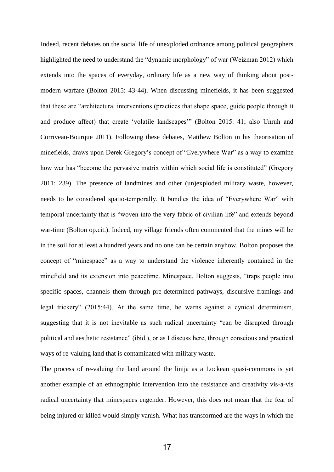Indeed, recent debates on the social life of unexploded ordnance among political geographers highlighted the need to understand the "dynamic morphology" of war (Weizman 2012) which extends into the spaces of everyday, ordinary life as a new way of thinking about postmodern warfare (Bolton 2015: 43-44). When discussing minefields, it has been suggested that these are "architectural interventions (practices that shape space, guide people through it and produce affect) that create 'volatile landscapes'" (Bolton 2015: 41; also Unruh and Corriveau-Bourque 2011). Following these debates, Matthew Bolton in his theorisation of minefields, draws upon Derek Gregory's concept of "Everywhere War" as a way to examine how war has "become the pervasive matrix within which social life is constituted" (Gregory 2011: 239). The presence of landmines and other (un)exploded military waste, however, needs to be considered spatio-temporally. It bundles the idea of "Everywhere War" with temporal uncertainty that is "woven into the very fabric of civilian life" and extends beyond war-time (Bolton op.cit.). Indeed, my village friends often commented that the mines will be in the soil for at least a hundred years and no one can be certain anyhow. Bolton proposes the concept of "minespace" as a way to understand the violence inherently contained in the minefield and its extension into peacetime. Minespace, Bolton suggests, "traps people into specific spaces, channels them through pre-determined pathways, discursive framings and legal trickery" (2015:44). At the same time, he warns against a cynical determinism, suggesting that it is not inevitable as such radical uncertainty "can be disrupted through political and aesthetic resistance" (ibid.), or as I discuss here, through conscious and practical ways of re-valuing land that is contaminated with military waste.

The process of re-valuing the land around the linija as a Lockean quasi-commons is yet another example of an ethnographic intervention into the resistance and creativity vis-à-vis radical uncertainty that minespaces engender. However, this does not mean that the fear of being injured or killed would simply vanish. What has transformed are the ways in which the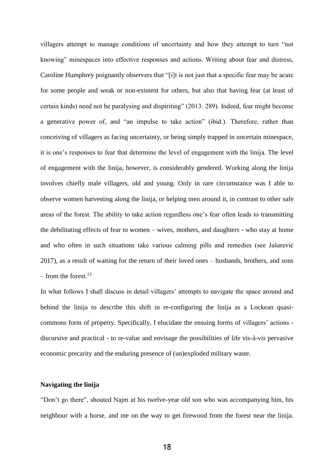villagers attempt to manage conditions of uncertainty and how they attempt to turn "not knowing" minespaces into effective responses and actions. Writing about fear and distress, Caroline Humphrey poignantly observers that "[i]t is not just that a specific fear may be acute for some people and weak or non-existent for others, but also that having fear (at least of certain kinds) need not be paralysing and dispiriting" (2013: 289). Indeed, fear might become a generative power of, and "an impulse to take action" (ibid.). Therefore, rather than conceiving of villagers as facing uncertainty, or being simply trapped in uncertain minespace, it is one's responses to fear that determine the level of engagement with the linija. The level of engagement with the linija, however, is considerably gendered. Working along the linija involves chiefly male villagers, old and young. Only in rare circumstance was I able to observe women harvesting along the linija, or helping men around it, in contrast to other safe areas of the forest. The ability to take action regardless one's fear often leads to transmitting the debilitating effects of fear to women – wives, mothers, and daughters - who stay at home and who often in such situations take various calming pills and remedies (see Jašarević 2017), as a result of waiting for the return of their loved ones – husbands, brothers, and sons – from the forest. $13$ 

In what follows I shall discuss in detail villagers' attempts to navigate the space around and behind the linija to describe this shift in re-configuring the linija as a Lockean quasicommons form of property. Specifically, I elucidate the ensuing forms of villagers' actions discursive and practical - to re-value and envisage the possibilities of life vis-à-vis pervasive economic precarity and the enduring presence of (un)exploded military waste.

## **Navigating the linija**

"Don't go there", shouted Najm at his twelve-year old son who was accompanying him, his neighbour with a horse, and me on the way to get firewood from the forest near the linija.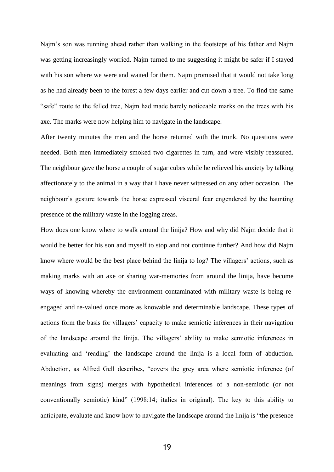Najm's son was running ahead rather than walking in the footsteps of his father and Najm was getting increasingly worried. Najm turned to me suggesting it might be safer if I stayed with his son where we were and waited for them. Najm promised that it would not take long as he had already been to the forest a few days earlier and cut down a tree. To find the same "safe" route to the felled tree, Najm had made barely noticeable marks on the trees with his axe. The marks were now helping him to navigate in the landscape.

After twenty minutes the men and the horse returned with the trunk. No questions were needed. Both men immediately smoked two cigarettes in turn, and were visibly reassured. The neighbour gave the horse a couple of sugar cubes while he relieved his anxiety by talking affectionately to the animal in a way that I have never witnessed on any other occasion. The neighbour's gesture towards the horse expressed visceral fear engendered by the haunting presence of the military waste in the logging areas.

How does one know where to walk around the linija? How and why did Najm decide that it would be better for his son and myself to stop and not continue further? And how did Najm know where would be the best place behind the linija to log? The villagers' actions, such as making marks with an axe or sharing war-memories from around the linija, have become ways of knowing whereby the environment contaminated with military waste is being reengaged and re-valued once more as knowable and determinable landscape. These types of actions form the basis for villagers' capacity to make semiotic inferences in their navigation of the landscape around the linija. The villagers' ability to make semiotic inferences in evaluating and 'reading' the landscape around the linija is a local form of abduction. Abduction, as Alfred Gell describes, "covers the grey area where semiotic inference (of meanings from signs) merges with hypothetical inferences of a non-semiotic (or not conventionally semiotic) kind" (1998:14; italics in original). The key to this ability to anticipate, evaluate and know how to navigate the landscape around the linija is "the presence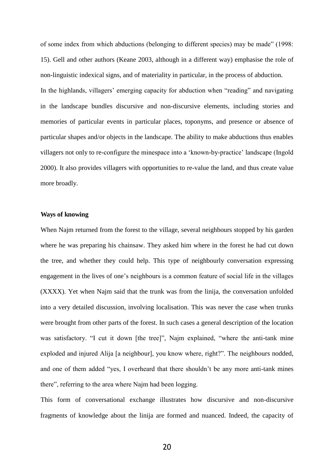of some index from which abductions (belonging to different species) may be made" (1998: 15). Gell and other authors (Keane 2003, although in a different way) emphasise the role of non-linguistic indexical signs, and of materiality in particular, in the process of abduction. In the highlands, villagers' emerging capacity for abduction when "reading" and navigating in the landscape bundles discursive and non-discursive elements, including stories and memories of particular events in particular places, toponyms, and presence or absence of particular shapes and/or objects in the landscape. The ability to make abductions thus enables villagers not only to re-configure the minespace into a 'known-by-practice' landscape (Ingold 2000). It also provides villagers with opportunities to re-value the land, and thus create value more broadly.

#### **Ways of knowing**

When Najm returned from the forest to the village, several neighbours stopped by his garden where he was preparing his chainsaw. They asked him where in the forest he had cut down the tree, and whether they could help. This type of neighbourly conversation expressing engagement in the lives of one's neighbours is a common feature of social life in the villages (XXXX). Yet when Najm said that the trunk was from the linija, the conversation unfolded into a very detailed discussion, involving localisation. This was never the case when trunks were brought from other parts of the forest. In such cases a general description of the location was satisfactory. "I cut it down [the tree]", Najm explained, "where the anti-tank mine exploded and injured Alija [a neighbour], you know where, right?". The neighbours nodded, and one of them added "yes, I overheard that there shouldn't be any more anti-tank mines there", referring to the area where Najm had been logging.

This form of conversational exchange illustrates how discursive and non-discursive fragments of knowledge about the linija are formed and nuanced. Indeed, the capacity of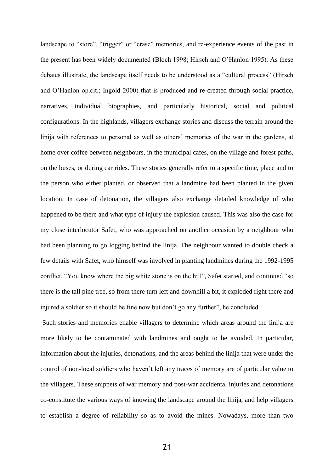landscape to "store", "trigger" or "erase" memories, and re-experience events of the past in the present has been widely documented (Bloch 1998; Hirsch and O'Hanlon 1995). As these debates illustrate, the landscape itself needs to be understood as a "cultural process" (Hirsch and O'Hanlon op.cit.; Ingold 2000) that is produced and re-created through social practice, narratives, individual biographies, and particularly historical, social and political configurations. In the highlands, villagers exchange stories and discuss the terrain around the linija with references to personal as well as others' memories of the war in the gardens, at home over coffee between neighbours, in the municipal cafes, on the village and forest paths, on the buses, or during car rides. These stories generally refer to a specific time, place and to the person who either planted, or observed that a landmine had been planted in the given location. In case of detonation, the villagers also exchange detailed knowledge of who happened to be there and what type of injury the explosion caused. This was also the case for my close interlocutor Safet, who was approached on another occasion by a neighbour who had been planning to go logging behind the linija. The neighbour wanted to double check a few details with Safet, who himself was involved in planting landmines during the 1992-1995 conflict. "You know where the big white stone is on the hill", Safet started, and continued "so there is the tall pine tree, so from there turn left and downhill a bit, it exploded right there and injured a soldier so it should be fine now but don't go any further", he concluded.

 Such stories and memories enable villagers to determine which areas around the linija are more likely to be contaminated with landmines and ought to be avoided. In particular, information about the injuries, detonations, and the areas behind the linija that were under the control of non-local soldiers who haven't left any traces of memory are of particular value to the villagers. These snippets of war memory and post-war accidental injuries and detonations co-constitute the various ways of knowing the landscape around the linija, and help villagers to establish a degree of reliability so as to avoid the mines. Nowadays, more than two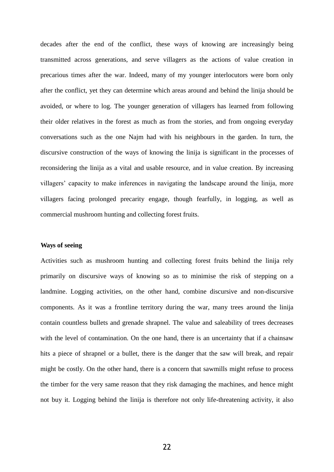decades after the end of the conflict, these ways of knowing are increasingly being transmitted across generations, and serve villagers as the actions of value creation in precarious times after the war. Indeed, many of my younger interlocutors were born only after the conflict, yet they can determine which areas around and behind the linija should be avoided, or where to log. The younger generation of villagers has learned from following their older relatives in the forest as much as from the stories, and from ongoing everyday conversations such as the one Najm had with his neighbours in the garden. In turn, the discursive construction of the ways of knowing the linija is significant in the processes of reconsidering the linija as a vital and usable resource, and in value creation. By increasing villagers' capacity to make inferences in navigating the landscape around the linija, more villagers facing prolonged precarity engage, though fearfully, in logging, as well as commercial mushroom hunting and collecting forest fruits.

#### **Ways of seeing**

Activities such as mushroom hunting and collecting forest fruits behind the linija rely primarily on discursive ways of knowing so as to minimise the risk of stepping on a landmine. Logging activities, on the other hand, combine discursive and non-discursive components. As it was a frontline territory during the war, many trees around the linija contain countless bullets and grenade shrapnel. The value and saleability of trees decreases with the level of contamination. On the one hand, there is an uncertainty that if a chainsaw hits a piece of shrapnel or a bullet, there is the danger that the saw will break, and repair might be costly. On the other hand, there is a concern that sawmills might refuse to process the timber for the very same reason that they risk damaging the machines, and hence might not buy it. Logging behind the linija is therefore not only life-threatening activity, it also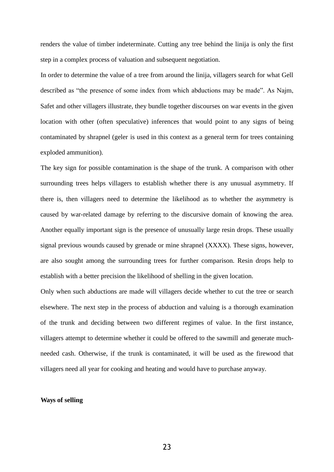renders the value of timber indeterminate. Cutting any tree behind the linija is only the first step in a complex process of valuation and subsequent negotiation.

In order to determine the value of a tree from around the linija, villagers search for what Gell described as "the presence of some index from which abductions may be made". As Najm, Safet and other villagers illustrate, they bundle together discourses on war events in the given location with other (often speculative) inferences that would point to any signs of being contaminated by shrapnel (geler is used in this context as a general term for trees containing exploded ammunition).

The key sign for possible contamination is the shape of the trunk. A comparison with other surrounding trees helps villagers to establish whether there is any unusual asymmetry. If there is, then villagers need to determine the likelihood as to whether the asymmetry is caused by war-related damage by referring to the discursive domain of knowing the area. Another equally important sign is the presence of unusually large resin drops. These usually signal previous wounds caused by grenade or mine shrapnel (XXXX). These signs, however, are also sought among the surrounding trees for further comparison. Resin drops help to establish with a better precision the likelihood of shelling in the given location.

Only when such abductions are made will villagers decide whether to cut the tree or search elsewhere. The next step in the process of abduction and valuing is a thorough examination of the trunk and deciding between two different regimes of value. In the first instance, villagers attempt to determine whether it could be offered to the sawmill and generate muchneeded cash. Otherwise, if the trunk is contaminated, it will be used as the firewood that villagers need all year for cooking and heating and would have to purchase anyway.

#### **Ways of selling**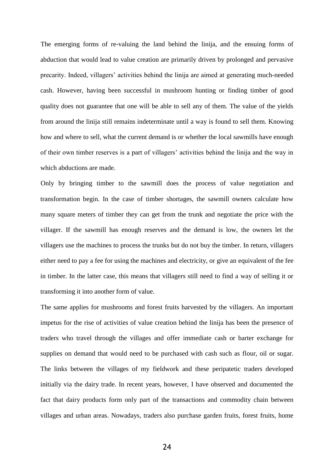The emerging forms of re-valuing the land behind the linija, and the ensuing forms of abduction that would lead to value creation are primarily driven by prolonged and pervasive precarity. Indeed, villagers' activities behind the linija are aimed at generating much-needed cash. However, having been successful in mushroom hunting or finding timber of good quality does not guarantee that one will be able to sell any of them. The value of the yields from around the linija still remains indeterminate until a way is found to sell them. Knowing how and where to sell, what the current demand is or whether the local sawmills have enough of their own timber reserves is a part of villagers' activities behind the linija and the way in which abductions are made.

Only by bringing timber to the sawmill does the process of value negotiation and transformation begin. In the case of timber shortages, the sawmill owners calculate how many square meters of timber they can get from the trunk and negotiate the price with the villager. If the sawmill has enough reserves and the demand is low, the owners let the villagers use the machines to process the trunks but do not buy the timber. In return, villagers either need to pay a fee for using the machines and electricity, or give an equivalent of the fee in timber. In the latter case, this means that villagers still need to find a way of selling it or transforming it into another form of value.

The same applies for mushrooms and forest fruits harvested by the villagers. An important impetus for the rise of activities of value creation behind the linija has been the presence of traders who travel through the villages and offer immediate cash or barter exchange for supplies on demand that would need to be purchased with cash such as flour, oil or sugar. The links between the villages of my fieldwork and these peripatetic traders developed initially via the dairy trade. In recent years, however, I have observed and documented the fact that dairy products form only part of the transactions and commodity chain between villages and urban areas. Nowadays, traders also purchase garden fruits, forest fruits, home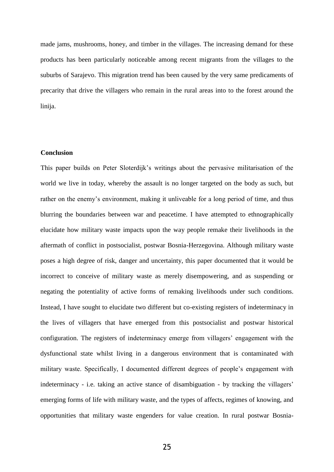made jams, mushrooms, honey, and timber in the villages. The increasing demand for these products has been particularly noticeable among recent migrants from the villages to the suburbs of Sarajevo. This migration trend has been caused by the very same predicaments of precarity that drive the villagers who remain in the rural areas into to the forest around the linija.

#### **Conclusion**

This paper builds on Peter Sloterdijk's writings about the pervasive militarisation of the world we live in today, whereby the assault is no longer targeted on the body as such, but rather on the enemy's environment, making it unliveable for a long period of time, and thus blurring the boundaries between war and peacetime. I have attempted to ethnographically elucidate how military waste impacts upon the way people remake their livelihoods in the aftermath of conflict in postsocialist, postwar Bosnia-Herzegovina. Although military waste poses a high degree of risk, danger and uncertainty, this paper documented that it would be incorrect to conceive of military waste as merely disempowering, and as suspending or negating the potentiality of active forms of remaking livelihoods under such conditions. Instead, I have sought to elucidate two different but co-existing registers of indeterminacy in the lives of villagers that have emerged from this postsocialist and postwar historical configuration. The registers of indeterminacy emerge from villagers' engagement with the dysfunctional state whilst living in a dangerous environment that is contaminated with military waste. Specifically, I documented different degrees of people's engagement with indeterminacy - i.e. taking an active stance of disambiguation - by tracking the villagers' emerging forms of life with military waste, and the types of affects, regimes of knowing, and opportunities that military waste engenders for value creation. In rural postwar Bosnia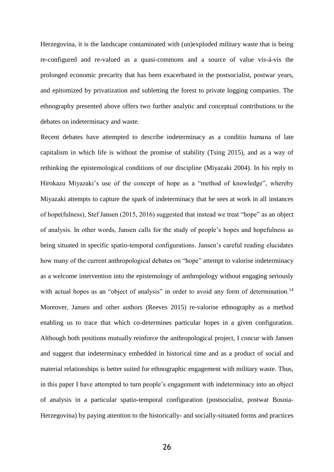Herzegovina, it is the landscape contaminated with (un)exploded military waste that is being re-configured and re-valued as a quasi-commons and a source of value vis-á-vis the prolonged economic precarity that has been exacerbated in the postsocialist, postwar years, and epitomized by privatization and subletting the forest to private logging companies. The ethnography presented above offers two further analytic and conceptual contributions to the debates on indeterminacy and waste.

Recent debates have attempted to describe indeterminacy as a conditio humana of late capitalism in which life is without the promise of stability (Tsing 2015), and as a way of rethinking the epistemological conditions of our discipline (Miyazaki 2004). In his reply to Hirokazu Miyazaki's use of the concept of hope as a "method of knowledge", whereby Miyazaki attempts to capture the spark of indeterminacy that he sees at work in all instances of hope(fulness), Stef Jansen (2015, 2016) suggested that instead we treat "hope" as an object of analysis. In other words, Jansen calls for the study of people's hopes and hopefulness as being situated in specific spatio-temporal configurations. Jansen's careful reading elucidates how many of the current anthropological debates on "hope" attempt to valorise indeterminacy as a welcome intervention into the epistemology of anthropology without engaging seriously with actual hopes as an "object of analysis" in order to avoid any form of determination.<sup>14</sup> Moreover, Jansen and other authors (Reeves 2015) re-valorise ethnography as a method enabling us to trace that which co-determines particular hopes in a given configuration. Although both positions mutually reinforce the anthropological project, I concur with Jansen and suggest that indeterminacy embedded in historical time and as a product of social and material relationships is better suited for ethnographic engagement with military waste. Thus, in this paper I have attempted to turn people's engagement with indeterminacy into an object of analysis in a particular spatio-temporal configuration (postsocialist, postwar Bosnia-Herzegovina) by paying attention to the historically- and socially-situated forms and practices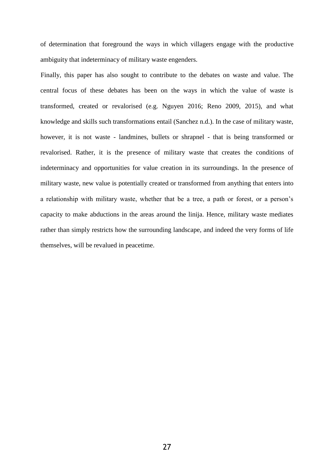of determination that foreground the ways in which villagers engage with the productive ambiguity that indeterminacy of military waste engenders.

Finally, this paper has also sought to contribute to the debates on waste and value. The central focus of these debates has been on the ways in which the value of waste is transformed, created or revalorised (e.g. Nguyen 2016; Reno 2009, 2015), and what knowledge and skills such transformations entail (Sanchez n.d.). In the case of military waste, however, it is not waste - landmines, bullets or shrapnel - that is being transformed or revalorised. Rather, it is the presence of military waste that creates the conditions of indeterminacy and opportunities for value creation in its surroundings. In the presence of military waste, new value is potentially created or transformed from anything that enters into a relationship with military waste, whether that be a tree, a path or forest, or a person's capacity to make abductions in the areas around the linija. Hence, military waste mediates rather than simply restricts how the surrounding landscape, and indeed the very forms of life themselves, will be revalued in peacetime.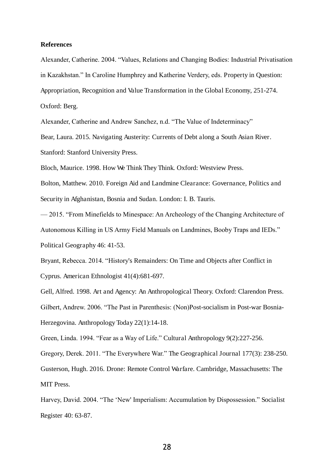#### **References**

Alexander, Catherine. 2004. "Values, Relations and Changing Bodies: Industrial Privatisation in Kazakhstan." In Caroline Humphrey and Katherine Verdery, eds. Property in Question: Appropriation, Recognition and Value Transformation in the Global Economy, 251-274. Oxford: Berg.

Alexander, Catherine and Andrew Sanchez, n.d. "The Value of Indeterminacy"

Bear, Laura. 2015. Navigating Austerity: Currents of Debt along a South Asian River.

Stanford: Stanford University Press.

Bloch, Maurice. 1998. How We Think They Think. Oxford: Westview Press.

Bolton, Matthew. 2010. Foreign Aid and Landmine Clearance: Governance, Politics and Security in Afghanistan, Bosnia and Sudan. London: I. B. Tauris.

— 2015. "From Minefields to Minespace: An Archeology of the Changing Architecture of Autonomous Killing in US Army Field Manuals on Landmines, Booby Traps and IEDs." Political Geography 46: 41-53.

Bryant, Rebecca. 2014. "History's Remainders: On Time and Objects after Conflict in Cyprus. American Ethnologist 41(4):681-697.

Gell, Alfred. 1998. Art and Agency: An Anthropological Theory. Oxford: Clarendon Press. Gilbert, Andrew. 2006. "The Past in Parenthesis: (Non)Post-socialism in Post-war Bosnia-Herzegovina. Anthropology Today 22(1):14-18.

Green, Linda. 1994. "Fear as a Way of Life." Cultural Anthropology 9(2):227-256.

Gregory, Derek. 2011. "The Everywhere War." The Geographical Journal 177(3): 238-250. Gusterson, Hugh. 2016. Drone: Remote Control Warfare. Cambridge, Massachusetts: The

MIT Press.

Harvey, David. 2004. "The 'New' Imperialism: Accumulation by Dispossession." Socialist Register 40: 63-87.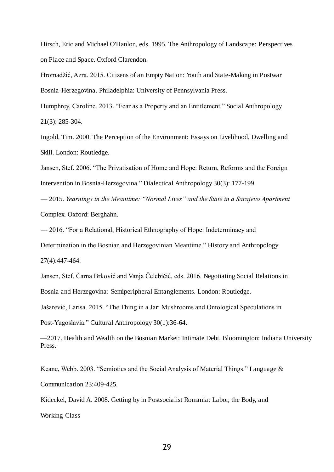Hirsch, Eric and Michael O'Hanlon, eds. 1995. The Anthropology of Landscape: Perspectives on Place and Space. Oxford Clarendon.

Hromadžić, Azra. 2015. Citizens of an Empty Nation: Youth and State-Making in Postwar Bosnia-Herzegovina. Philadelphia: University of Pennsylvania Press.

Humphrey, Caroline. 2013. "Fear as a Property and an Entitlement." Social Anthropology 21(3): 285-304.

Ingold, Tim. 2000. The Perception of the Environment: Essays on Livelihood, Dwelling and Skill. London: Routledge.

Jansen, Stef. 2006. "The Privatisation of Home and Hope: Return, Reforms and the Foreign Intervention in Bosnia-Herzegovina." Dialectical Anthropology 30(3): 177-199.

— 2015. *Yearnings in the Meantime: "Normal Lives" and the State in a Sarajevo Apartment*  Complex. Oxford: Berghahn.

— 2016. "For a Relational, Historical Ethnography of Hope: Indeterminacy and

Determination in the Bosnian and Herzegovinian Meantime." History and Anthropology

27(4):447-464.

Jansen, Stef, Čarna Brković and Vanja Čelebičić, eds. 2016. Negotiating Social Relations in Bosnia and Herzegovina: Semiperipheral Entanglements. London: Routledge.

Jašarević, Larisa. 2015. "The Thing in a Jar: Mushrooms and Ontological Speculations in

Post-Yugoslavia." Cultural Anthropology 30(1):36-64.

—2017. Health and Wealth on the Bosnian Market: Intimate Debt. Bloomington: Indiana University Press.

Keane, Webb. 2003. "Semiotics and the Social Analysis of Material Things." Language & Communication 23:409-425.

Kideckel, David A. 2008. Getting by in Postsocialist Romania: Labor, the Body, and Working-Class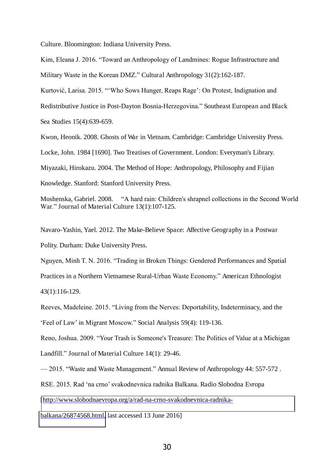Culture. Bloomington: Indiana University Press.

Kim, Eleana J. 2016. "Toward an Anthropology of Landmines: Rogue Infrastructure and Military Waste in the Korean DMZ." Cultural Anthropology 31(2):162-187.

Kurtović, Larisa. 2015. "'Who Sows Hunger, Reaps Rage': On Protest, Indignation and

Redistributive Justice in Post-Dayton Bosnia-Herzegovina." Southeast European and Black

Sea Studies 15(4):639-659.

Kwon, Heonik. 2008. Ghosts of War in Vietnam. Cambridge: Cambridge University Press.

Locke, John. 1984 [1690]. Two Treatises of Government. London: Everyman's Library.

Miyazaki, Hirokazu. 2004. The Method of Hope: Anthropology, Philosophy and Fijian

Knowledge. Stanford: Stanford University Press.

Moshenska, Gabriel. 2008. "A hard rain: Children's shrapnel collections in the Second World War." Journal of Material Culture 13(1):107-125.

Navaro-Yashin, Yael. 2012. The Make-Believe Space: Affective Geography in a Postwar Polity. Durham: Duke University Press.

Nguyen, Minh T. N. 2016. "Trading in Broken Things: Gendered Performances and Spatial Practices in a Northern Vietnamese Rural-Urban Waste Economy." American Ethnologist 43(1):116-129.

Reeves, Madeleine. 2015. "Living from the Nerves: Deportability, Indeterminacy, and the 'Feel of Law' in Migrant Moscow." Social Analysis 59(4): 119-136.

Reno, Joshua. 2009. "Your Trash is Someone's Treasure: The Politics of Value at a Michigan Landfill." Journal of Material Culture 14(1): 29-46.

— 2015. "Waste and Waste Management." Annual Review of Anthropology 44: 557-572 .

RSE. 2015. Rad 'na crno' svakodnevnica radnika Balkana. Radio Slobodna Evropa

[\[http://www.slobodnaevropa.org/a/rad-na-crno-svakodnevnica-radnika-](%22)

[balkana/26874568.html,](%22) last accessed 13 June 2016]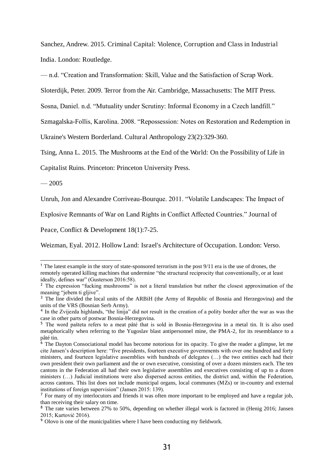Sanchez, Andrew. 2015. Criminal Capital: Violence, Corruption and Class in Industrial India. London: Routledge.

— n.d. "Creation and Transformation: Skill, Value and the Satisfaction of Scrap Work.

Sloterdijk, Peter. 2009. Terror from the Air. Cambridge, Massachusetts: The MIT Press.

Sosna, Daniel. n.d. "Mutuality under Scrutiny: Informal Economy in a Czech landfill."

Szmagalska-Follis, Karolina. 2008. "Repossession: Notes on Restoration and Redemption in

Ukraine's Western Borderland. Cultural Anthropology 23(2):329-360.

Tsing, Anna L. 2015. The Mushrooms at the End of the World: On the Possibility of Life in

Capitalist Ruins. Princeton: Princeton University Press.

 $-2005$ 

L

Unruh, Jon and Alexandre Corriveau-Bourque. 2011. "Volatile Landscapes: The Impact of

Explosive Remnants of War on Land Rights in Conflict Affected Countries." Journal of

Peace, Conflict & Development 18(1):7-25.

Weizman, Eyal. 2012. Hollow Land: Israel's Architecture of Occupation. London: Verso.

<sup>1</sup> The latest example in the story of state-sponsored terrorism in the post 9/11 era is the use of drones, the remotely operated killing machines that undermine "the structural reciprocity that conventionally, or at least ideally, defines war" (Gusterson 2016:58).

<sup>&</sup>lt;sup>2</sup> The expression "fucking mushrooms" is not a literal translation but rather the closest approximation of the meaning "jebem ti gljive".

<sup>&</sup>lt;sup>3</sup> The line divided the local units of the ARBiH (the Army of Republic of Bosnia and Herzegovina) and the units of the VRS (Bosnian Serb Army).

<sup>&</sup>lt;sup>4</sup> In the Zvijezda highlands, "the linija" did not result in the creation of a polity border after the war as was the case in other parts of postwar Bosnia-Herzegovina.

<sup>&</sup>lt;sup>5</sup> The word pašteta refers to a meat pâté that is sold in Bosnia-Herzegovina in a metal tin. It is also used metaphorically when referring to the Yugoslav blast antipersonnel mine, the PMA-2, for its resemblance to a pâté tin.

 $6$  The Dayton Consociational model has become notorious for its opacity. To give the reader a glimpse, let me cite Jansen's description here: "five presidents, fourteen executive governments with over one hundred and forty ministers, and fourteen legislative assemblies with hundreds of delegates (…) the two entities each had their own president their own parliament and the or own executive, consisting of over a dozen minsters each. The ten cantons in the Federation all had their own legislative assemblies and executives consisting of up to a dozen ministers (…) Judicial institutions were also dispersed across entities, the district and, within the Federation, across cantons. This list does not include municipal organs, local communes (MZs) or in-country and external institutions of foreign supervision" (Jansen 2015: 139).

<sup>&</sup>lt;sup>7</sup> For many of my interlocutors and friends it was often more important to be employed and have a regular job, than receiving their salary on time.

<sup>&</sup>lt;sup>8</sup> The rate varies between 27% to 50%, depending on whether illegal work is factored in (Henig 2016; Jansen 2015; Kurtović 2016).

<sup>&</sup>lt;sup>9</sup> Olovo is one of the municipalities where I have been conducting my fieldwork.